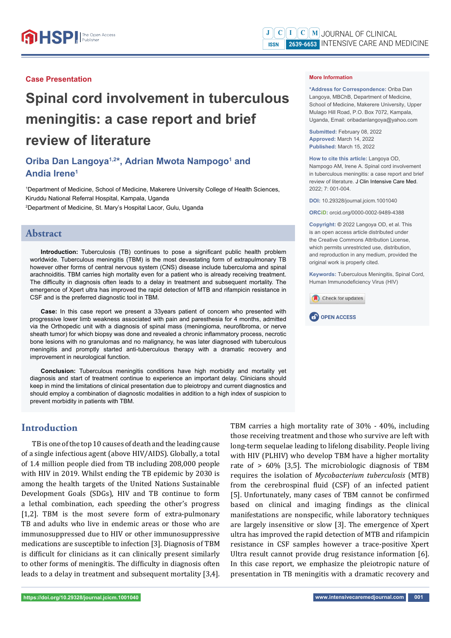#### **Case Presentation**

# **Spinal cord involvement in tuberculous meningitis: a case report and brief review of literature**

## Oriba Dan Langoya<sup>1,2\*</sup>, Adrian Mwota Nampogo<sup>1</sup> and **Andia Irene1**

1 Department of Medicine, School of Medicine, Makerere University College of Health Sciences, Kiruddu National Referral Hospital, Kampala, Uganda 2 Department of Medicine, St. Mary's Hospital Lacor, Gulu, Uganda

#### **Abstract**

**Introduction:** Tuberculosis (TB) continues to pose a significant public health problem worldwide. Tuberculous meningitis (TBM) is the most devastating form of extrapulmonary TB however other forms of central nervous system (CNS) disease include tuberculoma and spinal arachnoiditis. TBM carries high mortality even for a patient who is already receiving treatment. The difficulty in diagnosis often leads to a delay in treatment and subsequent mortality. The emergence of Xpert ultra has improved the rapid detection of MTB and rifampicin resistance in CSF and is the preferred diagnostic tool in TBM.

**Case:** In this case report we present a 33years patient of concern who presented with progressive lower limb weakness associated with pain and paresthesia for 4 months, admitted via the Orthopedic unit with a diagnosis of spinal mass (meningioma, neurofibroma, or nerve sheath tumor) for which biopsy was done and revealed a chronic inflammatory process, necrotic bone lesions with no granulomas and no malignancy, he was later diagnosed with tuberculous meningitis and promptly started anti-tuberculous therapy with a dramatic recovery and improvement in neurological function.

**Conclusion:** Tuberculous meningitis conditions have high morbidity and mortality yet diagnosis and start of treatment continue to experience an important delay. Clinicians should keep in mind the limitations of clinical presentation due to pleiotropy and current diagnostics and should employ a combination of diagnostic modalities in addition to a high index of suspicion to prevent morbidity in patients with TBM.

## **Introduction**

TB is one of the top 10 causes of death and the leading cause of a single infectious agent (above HIV/AIDS). Globally, a total of 1.4 million people died from TB including 208,000 people with HIV in 2019. Whilst ending the TB epidemic by 2030 is among the health targets of the United Nations Sustainable Development Goals (SDGs), HIV and TB continue to form a lethal combination, each speeding the other's progress [1,2]. TBM is the most severe form of extra-pulmonary TB and adults who live in endemic areas or those who are immunosuppressed due to HIV or other immunosuppressive medications are susceptible to infection [3]. Diagnosis of TBM is difficult for clinicians as it can clinically present similarly to other forms of meningitis. The difficulty in diagnosis often leads to a delay in treatment and subsequent mortality [3,4].

**\*Address for Correspondence:** Oriba Dan Langoya, MBChB, Department of Medicine, School of Medicine, Makerere University, Upper Mulago Hill Road, P.O. Box 7072, Kampala, Uganda, Email: oribadanlangoya@yahoo.com

**Submitted:** February 08, 2022 **Approved:** March 14, 2022 **Published:** March 15, 2022

**How to cite this article:** Langoya OD, Nampogo AM, Irene A. Spinal cord involvement in tuberculous meningitis: a case report and brief review of literature. J Clin Intensive Care Med. 2022; 7: 001-004.

**DOI:** 10.29328/journal.jcicm.1001040

**ORCiD:** orcid.org/0000-0002-9489-4388

**Copyright: ©** 2022 Langoya OD, et al. This is an open access article distributed under the Creative Commons Attribution License, which permits unrestricted use, distribution and reproduction in any medium, provided the original work is properly cited.

**Keywords:** Tuberculous Meningitis, Spinal Cord, Human Immunodeficiency Virus (HIV)





TBM carries a high mortality rate of 30% - 40%, including those receiving treatment and those who survive are left with long-term sequelae leading to lifelong disability. People living with HIV (PLHIV) who develop TBM have a higher mortality rate of > 60% [3,5]. The microbiologic diagnosis of TBM requires the isolation of *Mycobacterium tuberculosis* (MTB) from the cerebrospinal fluid (CSF) of an infected patient [5]. Unfortunately, many cases of TBM cannot be confirmed based on clinical and imaging findings as the clinical manifestations are nonspecific, while laboratory techniques are largely insensitive or slow [3]. The emergence of Xpert ultra has improved the rapid detection of MTB and rifampicin resistance in CSF samples however a trace-positive Xpert Ultra result cannot provide drug resistance information [6]. In this case report, we emphasize the pleiotropic nature of presentation in TB meningitis with a dramatic recovery and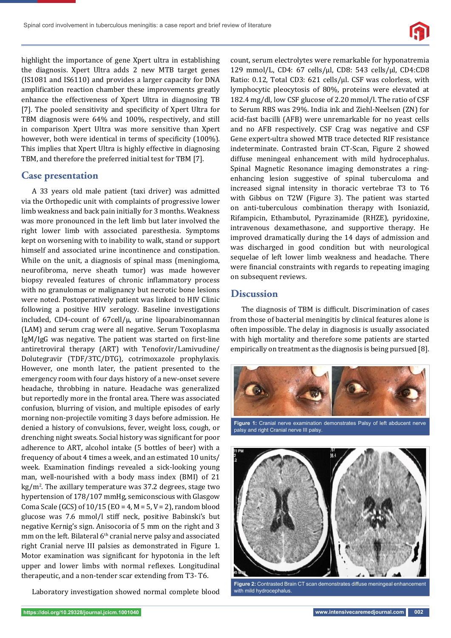

highlight the importance of gene Xpert ultra in establishing the diagnosis. Xpert Ultra adds 2 new MTB target genes (IS1081 and IS6110) and provides a larger capacity for DNA amplification reaction chamber these improvements greatly enhance the effectiveness of Xpert Ultra in diagnosing TB [7]. The pooled sensitivity and specificity of Xpert Ultra for TBM diagnosis were 64% and 100%, respectively, and still in comparison Xpert Ultra was more sensitive than Xpert however, both were identical in terms of specificity (100%). This implies that Xpert Ultra is highly effective in diagnosing TBM, and therefore the preferred initial test for TBM [7].

#### **Case presentation**

A 33 years old male patient (taxi driver) was admitted via the Orthopedic unit with complaints of progressive lower limb weakness and back pain initially for 3 months. Weakness was more pronounced in the left limb but later involved the right lower limb with associated paresthesia. Symptoms kept on worsening with to inability to walk, stand or support himself and associated urine incontinence and constipation. While on the unit, a diagnosis of spinal mass (meningioma, neurofibroma, nerve sheath tumor) was made however biopsy revealed features of chronic inflammatory process with no granulomas or malignancy but necrotic bone lesions were noted. Postoperatively patient was linked to HIV Clinic following a positive HIV serology. Baseline investigations included, CD4-count of 67cell/μ, urine lipoarabinomannan (LAM) and serum crag were all negative. Serum Toxoplasma IgM/IgG was negative. The patient was started on first-line antiretroviral therapy (ART) with Tenofovir/Lamivudine/ Dolutegravir (TDF/3TC/DTG), cotrimoxazole prophylaxis. However, one month later, the patient presented to the emergency room with four days history of a new-onset severe headache, throbbing in nature. Headache was generalized but reportedly more in the frontal area. There was associated confusion, blurring of vision, and multiple episodes of early morning non-projectile vomiting 3 days before admission. He denied a history of convulsions, fever, weight loss, cough, or drenching night sweats. Social history was significant for poor adherence to ART, alcohol intake (5 bottles of beer) with a frequency of about 4 times a week, and an estimated 10 units/ week. Examination findings revealed a sick-looking young man, well-nourished with a body mass index (BMI) of 21 kg/m<sup>2</sup>. The axillary temperature was 37.2 degrees, stage two hypertension of 178/107 mmHg, semiconscious with Glasgow Coma Scale (GCS) of  $10/15$  (EO = 4, M = 5, V = 2), random blood glucose was 7.6 mmol/l stiff neck, positive Babinski's but negative Kernig's sign. Anisocoria of 5 mm on the right and 3 mm on the left. Bilateral  $6<sup>th</sup>$  cranial nerve palsy and associated right Cranial nerve III palsies as demonstrated in Figure 1. Motor examination was significant for hypotonia in the left upper and lower limbs with normal reflexes. Longitudinal therapeutic, and a non-tender scar extending from T3- T6.

Laboratory investigation showed normal complete blood

count, serum electrolytes were remarkable for hyponatremia 129 mmol/L, CD4: 67 cells/μl, CD8: 543 cells/μl, CD4:CD8 Ratio: 0.12, Total CD3: 621 cells/μl. CSF was colorless, with lymphocytic pleocytosis of 80%, proteins were elevated at 182.4 mg/dl, low CSF glucose of 2.20 mmol/l. The ratio of CSF to Serum RBS was 29%. India ink and Ziehl-Neelsen (ZN) for acid-fast bacilli (AFB) were unremarkable for no yeast cells and no AFB respectively. CSF Crag was negative and CSF Gene expert-ultra showed MTB trace detected RIF resistance indeterminate. Contrasted brain CT-Scan, Figure 2 showed diffuse meningeal enhancement with mild hydrocephalus. Spinal Magnetic Resonance imaging demonstrates a ringenhancing lesion suggestive of spinal tuberculoma and increased signal intensity in thoracic vertebrae T3 to T6 with Gibbus on T2W (Figure 3). The patient was started on anti-tuberculous combination therapy with Isoniazid, Rifampicin, Ethambutol, Pyrazinamide (RHZE), pyridoxine, intravenous dexamethasone, and supportive therapy. He improved dramatically during the 14 days of admission and was discharged in good condition but with neurological sequelae of left lower limb weakness and headache. There were financial constraints with regards to repeating imaging on subsequent reviews.

## **Discussion**

The diagnosis of TBM is difficult. Discrimination of cases from those of bacterial meningitis by clinical features alone is often impossible. The delay in diagnosis is usually associated with high mortality and therefore some patients are started empirically on treatment as the diagnosis is being pursued [8].



**Figure 1:** Cranial nerve examination demonstrates Palsy of left abducent nerve palsy and right Cranial nerve III palsy.



Figure 2: Contrasted Brain CT scan demonstrates diffuse meningeal enhancement with mild hydrocephalus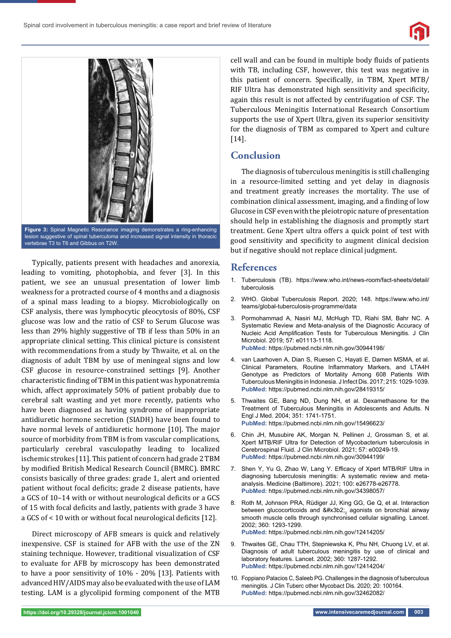



lesion suggestive of spinal tuberculoma and increased signal intensity in thoracic vertebrae T3 to T6 and Gibbus on T2W.

Typically, patients present with headaches and anorexia, leading to vomiting, photophobia, and fever [3]. In this patient, we see an unusual presentation of lower limb weakness for a protracted course of 4 months and a diagnosis of a spinal mass leading to a biopsy. Microbiologically on CSF analysis, there was lymphocytic pleocytosis of 80%, CSF glucose was low and the ratio of CSF to Serum Glucose was less than 29% highly suggestive of TB if less than 50% in an appropriate clinical setting. This clinical picture is consistent with recommendations from a study by Thwaite, et al. on the diagnosis of adult TBM by use of meningeal signs and low CSF glucose in resource-constrained settings [9]. Another characteristic finding of TBM in this patient was hyponatremia which, affect approximately 50% of patient probably due to cerebral salt wasting and yet more recently, patients who have been diagnosed as having syndrome of inappropriate antidiuretic hormone secretion (SIADH) have been found to have normal levels of antidiuretic hormone [10]. The major source of morbidity from TBM is from vascular complications, particularly cerebral vasculopathy leading to localized ischemic strokes [11]. This patient of concern had grade 2 TBM by modified British Medical Research Council (BMRC). BMRC consists basically of three grades: grade 1, alert and oriented patient without focal deficits; grade 2 disease patients, have a GCS of 10-14 with or without neurological deficits or a GCS of 15 with focal deficits and lastly, patients with grade 3 have a GCS of  $\leq$  10 with or without focal neurological deficits [12].

Direct microscopy of AFB smears is quick and relatively inexpensive. CSF is stained for AFB with the use of the ZN staining technique. However, traditional visualization of CSF to evaluate for AFB by microscopy has been demonstrated to have a poor sensitivity of 10% - 20% [13]. Patients with advanced HIV/AIDS may also be evaluated with the use of LAM testing. LAM is a glycolipid forming component of the MTB cell wall and can be found in multiple body fluids of patients with TB, including CSF, however, this test was negative in this patient of concern. Specifically, in TBM, Xpert MTB/ RIF Ultra has demonstrated high sensitivity and specificity, again this result is not affected by centrifugation of CSF. The Tuberculous Meningitis International Research Consortium supports the use of Xpert Ultra, given its superior sensitivity for the diagnosis of TBM as compared to Xpert and culture [14].

## **Conclusion**

The diagnosis of tuberculous meningitis is still challenging in a resource-limited setting and yet delay in diagnosis and treatment greatly increases the mortality. The use of combination clinical assessment, imaging, and a finding of low Glucose in CSF even with the pleiotropic nature of presentation should help in establishing the diagnosis and promptly start treatment. Gene Xpert ultra offers a quick point of test with good sensitivity and specificity to augment clinical decision but if negative should not replace clinical judgment.

#### **References**

- 1. Tuberculosis (TB). https://www.who.int/news-room/fact-sheets/detail/ tuberculosis
- 2. WHO. Global Tuberculosis Report. 2020; 148. https://www.who.int/ teams/global-tuberculosis-programme/data
- 3. Pormohammad A, Nasiri MJ, McHugh TD, Riahi SM, Bahr NC. A Systematic Review and Meta-analysis of the Diagnostic Accuracy of Nucleic Acid Amplification Tests for Tuberculous Meningitis. J Clin Microbiol. 2019; 57: e01113-1118. **PubMed:** https://pubmed.ncbi.nlm.nih.gov/30944198/
- 4. van Laarhoven A, Dian S, Ruesen C, Hayati E, Damen MSMA, et al. Clinical Parameters, Routine Inflammatory Markers, and LTA4H Genotype as Predictors of Mortality Among 608 Patients With Tuberculous Meningitis in Indonesia. J Infect Dis. 2017; 215: 1029-1039. **PubMed:** https://pubmed.ncbi.nlm.nih.gov/28419315/
- 5. Thwaites GE, Bang ND, Dung NH, et al. Dexamethasone for the Treatment of Tuberculous Meningitis in Adolescents and Adults. N Engl J Med. 2004; 351: 1741-1751. **PubMed:** https://pubmed.ncbi.nlm.nih.gov/15496623/
- 6. Chin JH, Musubire AK, Morgan N, Pellinen J, Grossman S, et al. Xpert MTB/RIF Ultra for Detection of Mycobacterium tuberculosis in Cerebrospinal Fluid. J Clin Microbiol. 2021; 57: e00249-19. **PubMed:** https://pubmed.ncbi.nlm.nih.gov/30944199/
- 7. Shen Y, Yu G, Zhao W, Lang Y. Efficacy of Xpert MTB/RIF Ultra in diagnosing tuberculosis meningitis: A systematic review and metaanalysis. Medicine (Baltimore). 2021; 100: e26778-e26778. **PubMed:** https://pubmed.ncbi.nlm.nih.gov/34398057/
- 8. Roth M, Johnson PRA, Rüdiger JJ, King GG, Ge Q, et al. Interaction between glucocorticoids and β<sub>2</sub> agonists on bronchial airway smooth muscle cells through synchronised cellular signalling. Lancet. 2002; 360: 1293-1299. **PubMed:** https://pubmed.ncbi.nlm.nih.gov/12414205/
- 9. Thwaites GE, Chau TTH, Stepniewska K, Phu NH, Chuong LV, et al. Diagnosis of adult tuberculous meningitis by use of clinical and laboratory features. Lancet. 2002; 360: 1287-1292. **PubMed:** https://pubmed.ncbi.nlm.nih.gov/12414204/
- 10. Foppiano Palacios C, Saleeb PG. Challenges in the diagnosis of tuberculous meningitis. J Clin Tuberc other Mycobact Dis. 2020; 20: 100164. **PubMed:** https://pubmed.ncbi.nlm.nih.gov/32462082/